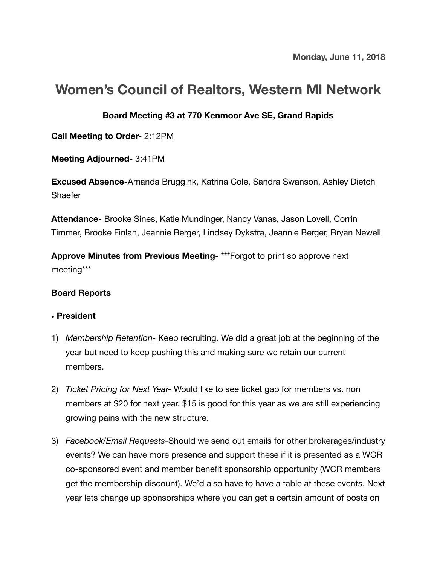# **Women's Council of Realtors, Western MI Network**

## **Board Meeting #3 at 770 Kenmoor Ave SE, Grand Rapids**

**Call Meeting to Order-** 2:12PM

**Meeting Adjourned-** 3:41PM

**Excused Absence-**Amanda Bruggink, Katrina Cole, Sandra Swanson, Ashley Dietch **Shaefer** 

**Attendance-** Brooke Sines, Katie Mundinger, Nancy Vanas, Jason Lovell, Corrin Timmer, Brooke Finlan, Jeannie Berger, Lindsey Dykstra, Jeannie Berger, Bryan Newell

**Approve Minutes from Previous Meeting-** \*\*\*Forgot to print so approve next meeting\*\*\*

## **Board Reports**

#### **• President**

- 1) *Membership Retention-* Keep recruiting. We did a great job at the beginning of the year but need to keep pushing this and making sure we retain our current members.
- 2) *Ticket Pricing for Next Year-* Would like to see ticket gap for members vs. non members at \$20 for next year. \$15 is good for this year as we are still experiencing growing pains with the new structure.
- 3) *Facebook/Email Requests-*Should we send out emails for other brokerages/industry events? We can have more presence and support these if it is presented as a WCR co-sponsored event and member benefit sponsorship opportunity (WCR members get the membership discount). We'd also have to have a table at these events. Next year lets change up sponsorships where you can get a certain amount of posts on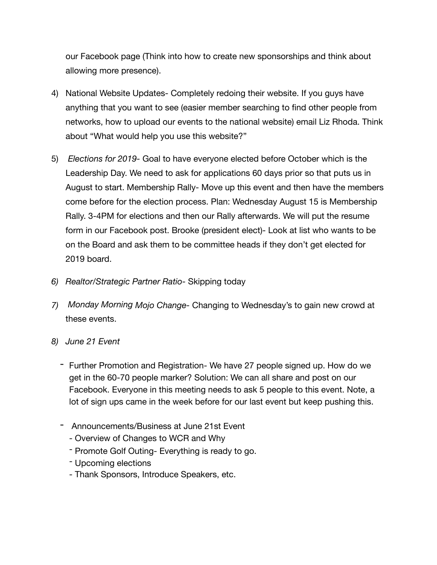our Facebook page (Think into how to create new sponsorships and think about allowing more presence).

- 4) National Website Updates- Completely redoing their website. If you guys have anything that you want to see (easier member searching to find other people from networks, how to upload our events to the national website) email Liz Rhoda. Think about "What would help you use this website?"
- 5) *Elections for 2019-* Goal to have everyone elected before October which is the Leadership Day. We need to ask for applications 60 days prior so that puts us in August to start. Membership Rally- Move up this event and then have the members come before for the election process. Plan: Wednesday August 15 is Membership Rally. 3-4PM for elections and then our Rally afterwards. We will put the resume form in our Facebook post. Brooke (president elect)- Look at list who wants to be on the Board and ask them to be committee heads if they don't get elected for 2019 board.
- *6) Realtor/Strategic Partner Ratio-* Skipping today
- *7) Monday Morning Mojo Change-* Changing to Wednesday's to gain new crowd at these events.
- *8) June 21 Event* 
	- Further Promotion and Registration- We have 27 people signed up. How do we get in the 60-70 people marker? Solution: We can all share and post on our Facebook. Everyone in this meeting needs to ask 5 people to this event. Note, a lot of sign ups came in the week before for our last event but keep pushing this.
	- Announcements/Business at June 21st Event
		- Overview of Changes to WCR and Why
		- Promote Golf Outing- Everything is ready to go.
		- Upcoming elections
		- Thank Sponsors, Introduce Speakers, etc.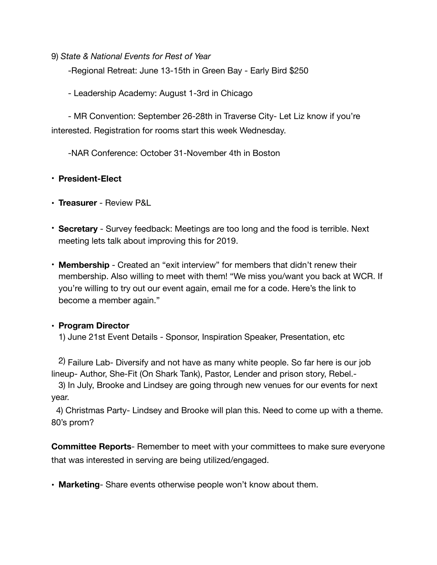9) *State & National Events for Rest of Year*

-Regional Retreat: June 13-15th in Green Bay - Early Bird \$250

- Leadership Academy: August 1-3rd in Chicago

 - MR Convention: September 26-28th in Traverse City- Let Liz know if you're interested. Registration for rooms start this week Wednesday.

-NAR Conference: October 31-November 4th in Boston

## • **President-Elect**

- **Treasurer** Review P&L
- **Secretary** Survey feedback: Meetings are too long and the food is terrible. Next meeting lets talk about improving this for 2019.
- **Membership** Created an "exit interview" for members that didn't renew their membership. Also willing to meet with them! "We miss you/want you back at WCR. If you're willing to try out our event again, email me for a code. Here's the link to become a member again."

# • **Program Director**

1) June 21st Event Details - Sponsor, Inspiration Speaker, Presentation, etc

 2) Failure Lab- Diversify and not have as many white people. So far here is our job lineup- Author, She-Fit (On Shark Tank), Pastor, Lender and prison story, Rebel.-

 3) In July, Brooke and Lindsey are going through new venues for our events for next year.

 4) Christmas Party- Lindsey and Brooke will plan this. Need to come up with a theme. 80's prom?

**Committee Reports**- Remember to meet with your committees to make sure everyone that was interested in serving are being utilized/engaged.

**• Marketing**- Share events otherwise people won't know about them.